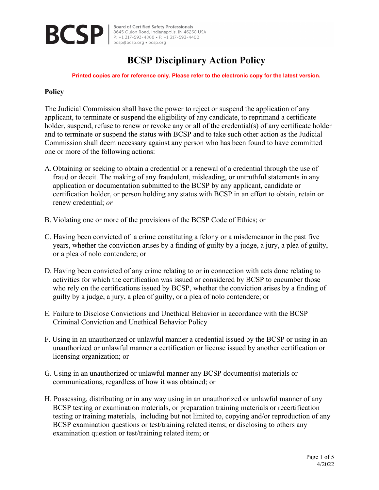

**Board of Certified Safety Professionals** Board of Certified Safety Professionals<br>
BCS P | 8645 Guion Road, Indianapolis, IN 46268 USA<br>
P: +1 317-593-4800 • F: +1 317-593-4400<br>
besp@bcsp.org • bcsp.org

# **BCSP Disciplinary Action Policy**

**Printed copies are for reference only. Please refer to the electronic copy for the latest version.**

### **Policy**

The Judicial Commission shall have the power to reject or suspend the application of any applicant, to terminate or suspend the eligibility of any candidate, to reprimand a certificate holder, suspend, refuse to renew or revoke any or all of the credential(s) of any certificate holder and to terminate or suspend the status with BCSP and to take such other action as the Judicial Commission shall deem necessary against any person who has been found to have committed one or more of the following actions:

- A. Obtaining or seeking to obtain a credential or a renewal of a credential through the use of fraud or deceit. The making of any fraudulent, misleading, or untruthful statements in any application or documentation submitted to the BCSP by any applicant, candidate or certification holder, or person holding any status with BCSP in an effort to obtain, retain or renew credential; *or*
- B. Violating one or more of the provisions of the BCSP Code of Ethics; or
- C. Having been convicted of a crime constituting a felony or a misdemeanor in the past five years, whether the conviction arises by a finding of guilty by a judge, a jury, a plea of guilty, or a plea of nolo contendere; or
- D. Having been convicted of any crime relating to or in connection with acts done relating to activities for which the certification was issued or considered by BCSP to encumber those who rely on the certifications issued by BCSP, whether the conviction arises by a finding of guilty by a judge, a jury, a plea of guilty, or a plea of nolo contendere; or
- E. Failure to Disclose Convictions and Unethical Behavior in accordance with the BCSP Criminal Conviction and Unethical Behavior Policy
- F. Using in an unauthorized or unlawful manner a credential issued by the BCSP or using in an unauthorized or unlawful manner a certification or license issued by another certification or licensing organization; or
- G. Using in an unauthorized or unlawful manner any BCSP document(s) materials or communications, regardless of how it was obtained; or
- H. Possessing, distributing or in any way using in an unauthorized or unlawful manner of any BCSP testing or examination materials, or preparation training materials or recertification testing or training materials, including but not limited to, copying and/or reproduction of any BCSP examination questions or test/training related items; or disclosing to others any examination question or test/training related item; or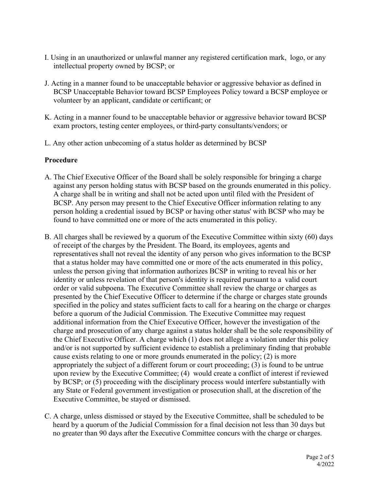- I. Using in an unauthorized or unlawful manner any registered certification mark, logo, or any intellectual property owned by BCSP; or
- J. Acting in a manner found to be unacceptable behavior or aggressive behavior as defined in BCSP Unacceptable Behavior toward BCSP Employees Policy toward a BCSP employee or volunteer by an applicant, candidate or certificant; or
- K. Acting in a manner found to be unacceptable behavior or aggressive behavior toward BCSP exam proctors, testing center employees, or third-party consultants/vendors; or
- L. Any other action unbecoming of a status holder as determined by BCSP

## **Procedure**

- A. The Chief Executive Officer of the Board shall be solely responsible for bringing a charge against any person holding status with BCSP based on the grounds enumerated in this policy. A charge shall be in writing and shall not be acted upon until filed with the President of BCSP. Any person may present to the Chief Executive Officer information relating to any person holding a credential issued by BCSP or having other status' with BCSP who may be found to have committed one or more of the acts enumerated in this policy.
- B. All charges shall be reviewed by a quorum of the Executive Committee within sixty (60) days of receipt of the charges by the President. The Board, its employees, agents and representatives shall not reveal the identity of any person who gives information to the BCSP that a status holder may have committed one or more of the acts enumerated in this policy, unless the person giving that information authorizes BCSP in writing to reveal his or her identity or unless revelation of that person's identity is required pursuant to a valid court order or valid subpoena. The Executive Committee shall review the charge or charges as presented by the Chief Executive Officer to determine if the charge or charges state grounds specified in the policy and states sufficient facts to call for a hearing on the charge or charges before a quorum of the Judicial Commission. The Executive Committee may request additional information from the Chief Executive Officer, however the investigation of the charge and prosecution of any charge against a status holder shall be the sole responsibility of the Chief Executive Officer. A charge which (1) does not allege a violation under this policy and/or is not supported by sufficient evidence to establish a preliminary finding that probable cause exists relating to one or more grounds enumerated in the policy; (2) is more appropriately the subject of a different forum or court proceeding; (3) is found to be untrue upon review by the Executive Committee; (4) would create a conflict of interest if reviewed by BCSP; or (5) proceeding with the disciplinary process would interfere substantially with any State or Federal government investigation or prosecution shall, at the discretion of the Executive Committee, be stayed or dismissed.
- C. A charge, unless dismissed or stayed by the Executive Committee, shall be scheduled to be heard by a quorum of the Judicial Commission for a final decision not less than 30 days but no greater than 90 days after the Executive Committee concurs with the charge or charges.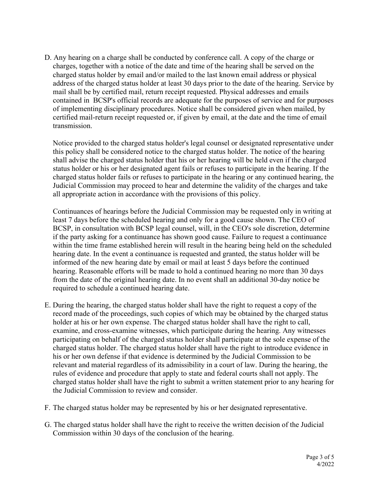D. Any hearing on a charge shall be conducted by conference call. A copy of the charge or charges, together with a notice of the date and time of the hearing shall be served on the charged status holder by email and/or mailed to the last known email address or physical address of the charged status holder at least 30 days prior to the date of the hearing. Service by mail shall be by certified mail, return receipt requested. Physical addresses and emails contained in BCSP's official records are adequate for the purposes of service and for purposes of implementing disciplinary procedures. Notice shall be considered given when mailed, by certified mail-return receipt requested or, if given by email, at the date and the time of email transmission.

Notice provided to the charged status holder's legal counsel or designated representative under this policy shall be considered notice to the charged status holder. The notice of the hearing shall advise the charged status holder that his or her hearing will be held even if the charged status holder or his or her designated agent fails or refuses to participate in the hearing. If the charged status holder fails or refuses to participate in the hearing or any continued hearing, the Judicial Commission may proceed to hear and determine the validity of the charges and take all appropriate action in accordance with the provisions of this policy.

Continuances of hearings before the Judicial Commission may be requested only in writing at least 7 days before the scheduled hearing and only for a good cause shown. The CEO of BCSP, in consultation with BCSP legal counsel, will, in the CEO's sole discretion, determine if the party asking for a continuance has shown good cause. Failure to request a continuance within the time frame established herein will result in the hearing being held on the scheduled hearing date. In the event a continuance is requested and granted, the status holder will be informed of the new hearing date by email or mail at least 5 days before the continued hearing. Reasonable efforts will be made to hold a continued hearing no more than 30 days from the date of the original hearing date. In no event shall an additional 30-day notice be required to schedule a continued hearing date.

- E. During the hearing, the charged status holder shall have the right to request a copy of the record made of the proceedings, such copies of which may be obtained by the charged status holder at his or her own expense. The charged status holder shall have the right to call, examine, and cross-examine witnesses, which participate during the hearing. Any witnesses participating on behalf of the charged status holder shall participate at the sole expense of the charged status holder. The charged status holder shall have the right to introduce evidence in his or her own defense if that evidence is determined by the Judicial Commission to be relevant and material regardless of its admissibility in a court of law. During the hearing, the rules of evidence and procedure that apply to state and federal courts shall not apply. The charged status holder shall have the right to submit a written statement prior to any hearing for the Judicial Commission to review and consider.
- F. The charged status holder may be represented by his or her designated representative.
- G. The charged status holder shall have the right to receive the written decision of the Judicial Commission within 30 days of the conclusion of the hearing.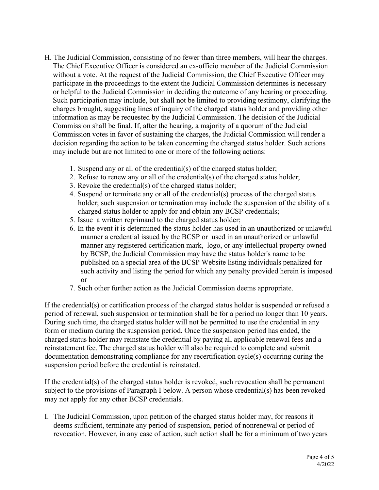- H. The Judicial Commission, consisting of no fewer than three members, will hear the charges. The Chief Executive Officer is considered an ex-officio member of the Judicial Commission without a vote. At the request of the Judicial Commission, the Chief Executive Officer may participate in the proceedings to the extent the Judicial Commission determines is necessary or helpful to the Judicial Commission in deciding the outcome of any hearing or proceeding. Such participation may include, but shall not be limited to providing testimony, clarifying the charges brought, suggesting lines of inquiry of the charged status holder and providing other information as may be requested by the Judicial Commission. The decision of the Judicial Commission shall be final. If, after the hearing, a majority of a quorum of the Judicial Commission votes in favor of sustaining the charges, the Judicial Commission will render a decision regarding the action to be taken concerning the charged status holder. Such actions may include but are not limited to one or more of the following actions:
	- 1. Suspend any or all of the credential(s) of the charged status holder;
	- 2. Refuse to renew any or all of the credential(s) of the charged status holder;
	- 3. Revoke the credential(s) of the charged status holder;
	- 4. Suspend or terminate any or all of the credential(s) process of the charged status holder; such suspension or termination may include the suspension of the ability of a charged status holder to apply for and obtain any BCSP credentials;
	- 5. Issue a written reprimand to the charged status holder;
	- 6. In the event it is determined the status holder has used in an unauthorized or unlawful manner a credential issued by the BCSP or used in an unauthorized or unlawful manner any registered certification mark, logo, or any intellectual property owned by BCSP, the Judicial Commission may have the status holder's name to be published on a special area of the BCSP Website listing individuals penalized for such activity and listing the period for which any penalty provided herein is imposed or
	- 7. Such other further action as the Judicial Commission deems appropriate.

If the credential(s) or certification process of the charged status holder is suspended or refused a period of renewal, such suspension or termination shall be for a period no longer than 10 years. During such time, the charged status holder will not be permitted to use the credential in any form or medium during the suspension period. Once the suspension period has ended, the charged status holder may reinstate the credential by paying all applicable renewal fees and a reinstatement fee. The charged status holder will also be required to complete and submit documentation demonstrating compliance for any recertification cycle(s) occurring during the suspension period before the credential is reinstated.

If the credential(s) of the charged status holder is revoked, such revocation shall be permanent subject to the provisions of Paragraph I below. A person whose credential(s) has been revoked may not apply for any other BCSP credentials.

I. The Judicial Commission, upon petition of the charged status holder may, for reasons it deems sufficient, terminate any period of suspension, period of nonrenewal or period of revocation. However, in any case of action, such action shall be for a minimum of two years